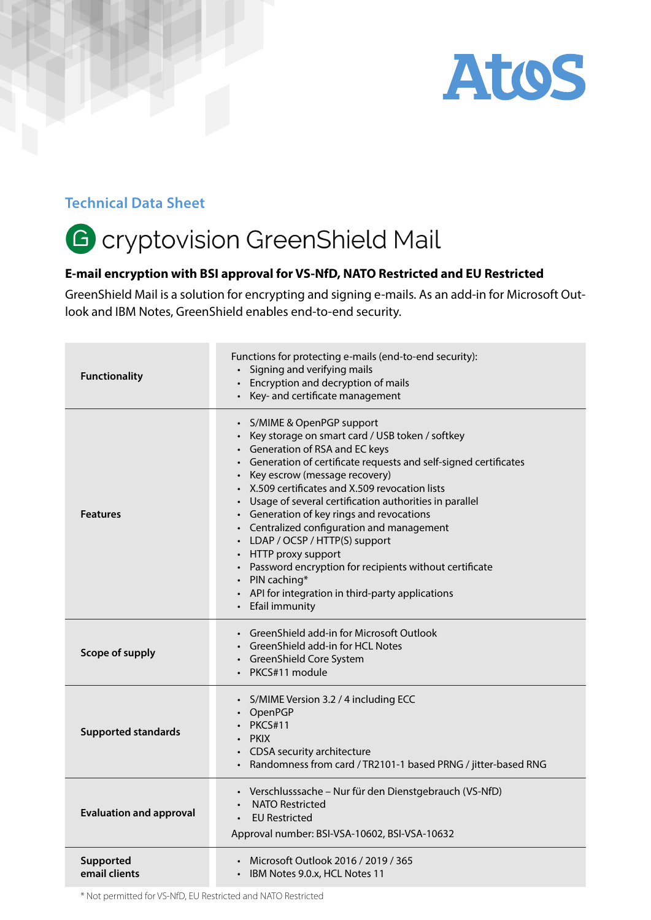

## **Technical Data Sheet**

## G cryptovision GreenShield Mail

## **E-mail encryption with BSI approval for VS-NfD, NATO Restricted and EU Restricted**

GreenShield Mail is a solution for encrypting and signing e-mails. As an add-in for Microsoft Outlook and IBM Notes, GreenShield enables end-to-end security.

| <b>Functionality</b>           | Functions for protecting e-mails (end-to-end security):<br>• Signing and verifying mails<br>Encryption and decryption of mails<br>• Key- and certificate management                                                                                                                                                                                                                                                                                                                                                                                                                                                                                  |
|--------------------------------|------------------------------------------------------------------------------------------------------------------------------------------------------------------------------------------------------------------------------------------------------------------------------------------------------------------------------------------------------------------------------------------------------------------------------------------------------------------------------------------------------------------------------------------------------------------------------------------------------------------------------------------------------|
| <b>Features</b>                | • S/MIME & OpenPGP support<br>• Key storage on smart card / USB token / softkey<br>• Generation of RSA and EC keys<br>• Generation of certificate requests and self-signed certificates<br>• Key escrow (message recovery)<br>• X.509 certificates and X.509 revocation lists<br>• Usage of several certification authorities in parallel<br>• Generation of key rings and revocations<br>• Centralized configuration and management<br>• LDAP / OCSP / HTTP(S) support<br>• HTTP proxy support<br>• Password encryption for recipients without certificate<br>• PIN caching*<br>• API for integration in third-party applications<br>Efail immunity |
| Scope of supply                | • GreenShield add-in for Microsoft Outlook<br>• GreenShield add-in for HCL Notes<br>• GreenShield Core System<br>• PKCS#11 module                                                                                                                                                                                                                                                                                                                                                                                                                                                                                                                    |
| <b>Supported standards</b>     | • S/MIME Version 3.2 / 4 including ECC<br>OpenPGP<br>$\cdot$ PKCS#11<br>· PKIX<br>CDSA security architecture<br>Randomness from card / TR2101-1 based PRNG / jitter-based RNG                                                                                                                                                                                                                                                                                                                                                                                                                                                                        |
| <b>Evaluation and approval</b> | · Verschlusssache - Nur für den Dienstgebrauch (VS-NfD)<br><b>NATO Restricted</b><br><b>EU Restricted</b><br>Approval number: BSI-VSA-10602, BSI-VSA-10632                                                                                                                                                                                                                                                                                                                                                                                                                                                                                           |
| Supported<br>email clients     | Microsoft Outlook 2016 / 2019 / 365<br>• IBM Notes 9.0.x, HCL Notes 11                                                                                                                                                                                                                                                                                                                                                                                                                                                                                                                                                                               |

\* Not permitted for VS-NfD, EU Restricted and NATO Restricted